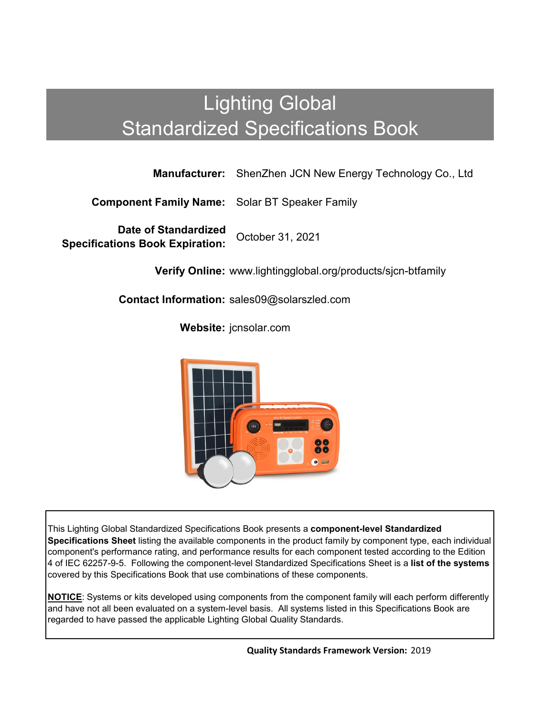## Lighting Global Standardized Specifications Book

**Manufacturer:** ShenZhen JCN New Energy Technology Co., Ltd

**Component Family Name:** Solar BT Speaker Family

**Date of Standardized Specifications Book Expiration:** October 31, 2021

**Verify Online:** www.lightingglobal.org/products/sjcn-btfamily

**Contact Information:** sales09@solarszled.com

**Website:** jcnsolar.com



This Lighting Global Standardized Specifications Book presents a **component-level Standardized Specifications Sheet** listing the available components in the product family by component type, each individual component's performance rating, and performance results for each component tested according to the Edition 4 of IEC 62257-9-5. Following the component-level Standardized Specifications Sheet is a **list of the systems**  covered by this Specifications Book that use combinations of these components.

**NOTICE**: Systems or kits developed using components from the component family will each perform differently and have not all been evaluated on a system-level basis. All systems listed in this Specifications Book are regarded to have passed the applicable Lighting Global Quality Standards.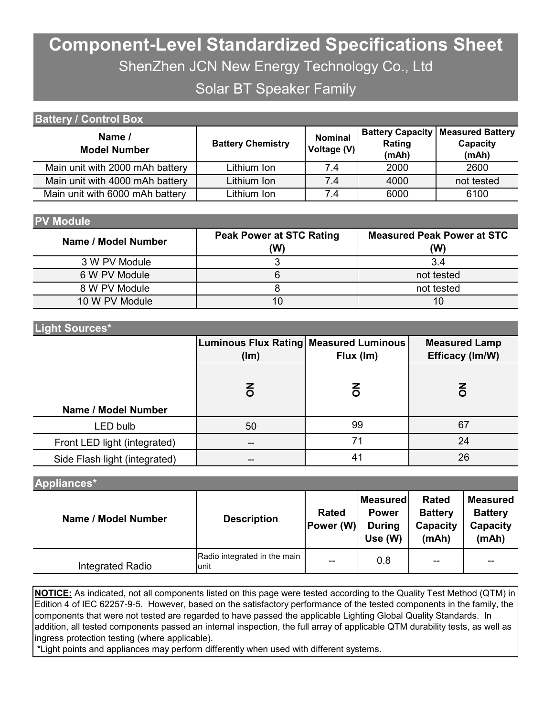# **Component-Level Standardized Specifications Sheet** ShenZhen JCN New Energy Technology Co., Ltd

### Solar BT Speaker Family

| <b>Battery / Control Box</b>    |                          |                               |                                            |                                              |  |  |  |
|---------------------------------|--------------------------|-------------------------------|--------------------------------------------|----------------------------------------------|--|--|--|
| Name /<br><b>Model Number</b>   | <b>Battery Chemistry</b> | <b>Nominal</b><br>Voltage (V) | <b>Battery Capacity</b><br>Rating<br>(mAh) | <b>Measured Battery</b><br>Capacity<br>(mAh) |  |  |  |
| Main unit with 2000 mAh battery | Lithium Ion              | 7.4                           | 2000                                       | 2600                                         |  |  |  |
| Main unit with 4000 mAh battery | Lithium Ion              | 7.4                           | 4000                                       | not tested                                   |  |  |  |
| Main unit with 6000 mAh battery | Lithium Ion              | 7.4                           | 6000                                       | 6100                                         |  |  |  |

| <b>PV Module</b>    |                                        |                                          |
|---------------------|----------------------------------------|------------------------------------------|
| Name / Model Number | <b>Peak Power at STC Rating</b><br>(W) | <b>Measured Peak Power at STC</b><br>(W) |
| 3 W PV Module       |                                        | 3.4                                      |
| 6 W PV Module       |                                        | not tested                               |
| 8 W PV Module       |                                        | not tested                               |
| 10 W PV Module      |                                        |                                          |

#### **Light Sources\***

|                               | Luminous Flux Rating Measured Luminous<br>(lm) | Flux (Im) | <b>Measured Lamp</b><br>Efficacy (Im/W) |  |  |
|-------------------------------|------------------------------------------------|-----------|-----------------------------------------|--|--|
| Name / Model Number           | $\overline{6}$                                 | ā         | δ                                       |  |  |
| LED bulb                      | 50                                             | 99        | 67                                      |  |  |
| Front LED light (integrated)  |                                                | 71        | 24                                      |  |  |
| Side Flash light (integrated) |                                                | 41        | 26                                      |  |  |

| Appliances*         |                                      |                           |                                                             |                                                     |                                                        |  |
|---------------------|--------------------------------------|---------------------------|-------------------------------------------------------------|-----------------------------------------------------|--------------------------------------------------------|--|
| Name / Model Number | <b>Description</b>                   | <b>Rated</b><br>Power (W) | <b>Measured</b><br><b>Power</b><br><b>During</b><br>Use (W) | <b>Rated</b><br><b>Battery</b><br>Capacity<br>(mAh) | <b>Measured</b><br><b>Battery</b><br>Capacity<br>(mAh) |  |
| Integrated Radio    | Radio integrated in the main<br>unit | --                        | 0.8                                                         | --                                                  | $- -$                                                  |  |

**NOTICE:** As indicated, not all components listed on this page were tested according to the Quality Test Method (QTM) in Edition 4 of IEC 62257-9-5. However, based on the satisfactory performance of the tested components in the family, the components that were not tested are regarded to have passed the applicable Lighting Global Quality Standards. In addition, all tested components passed an internal inspection, the full array of applicable QTM durability tests, as well as ingress protection testing (where applicable).

\*Light points and appliances may perform differently when used with different systems.